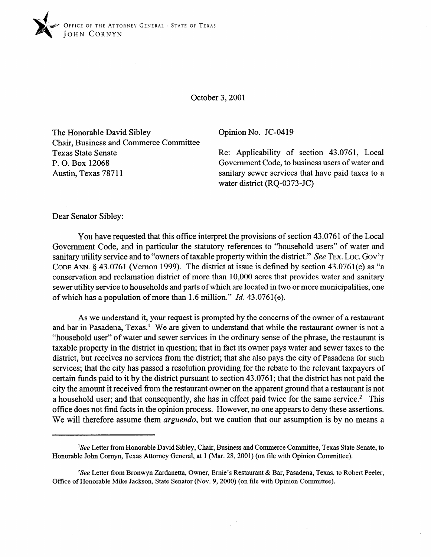

October 3,200l

The Honorable David Sibley Chair, Business and Commerce Committee Texas State Senate P. 0. Box 12068 Austin, Texas 78711

Opinion No. JC-0419

Re: Applicability of section 43.0761, Local Government Code, to business users of water and sanitary sewer services that have paid taxes to a water district (RQ-0373-JC)

Dear Senator Sibley:

You have requested that this office interpret the provisions of section 43.0761 of the Local Government Code, and in particular the statutory references to "household users" of water and sanitary utility service and to "owners of taxable property within the district." See TEX. LOC. GOV'T **CODE** ANN. 8 43.0761 (Vernon 1999). The district at issue is defined by section 43.0761 (e) as "a conservation and reclamation district of more than 10,000 acres that provides water and sanitary sewer utility service to households and parts of which are located in two or more municipalities, one of which has a population of more than 1.6 million." *Id. 43.0761(e).* 

As we understand it, your request is prompted by the concerns of the owner of a restaurant and bar in Pasadena, Texas.<sup>1</sup> We are given to understand that while the restaurant owner is not a "household user" of water and sewer services in the ordinary sense of the phrase, the restaurant is taxable property in the district in question; that in fact its owner pays water and sewer taxes to the district, but receives no services from the district; that she also pays the city of Pasadena for such services; that the city has passed a resolution providing for the rebate to the relevant taxpayers of certain funds paid to it by the district pursuant to section 43.076 1; that the district has not paid the city the amount it received from the restaurant owner on the apparent ground that a restaurant is not a household user; and that consequently, she has in effect paid twice for the same service.<sup>2</sup> This office does not find facts in the opinion process. However, no one appears to deny these assertions. We will therefore assume them *arguendo,* but we caution that our assumption is by no means a

<sup>&#</sup>x27;See Letter from Honorable David Sibley, Chair, Business and Commerce Committee, Texas State Senate, to Honorable John Cornyn, Texas Attorney General, at 1 (Mar. 28,200l) (on file with Opinion Committee).

<sup>&</sup>lt;sup>2</sup>See Letter from Bronwyn Zardanetta, Owner, Ernie's Restaurant & Bar, Pasadena, Texas, to Robert Peeler, Office of Honorable Mike Jackson, State Senator (Nov. 9,200O) (on file with Opinion Committee).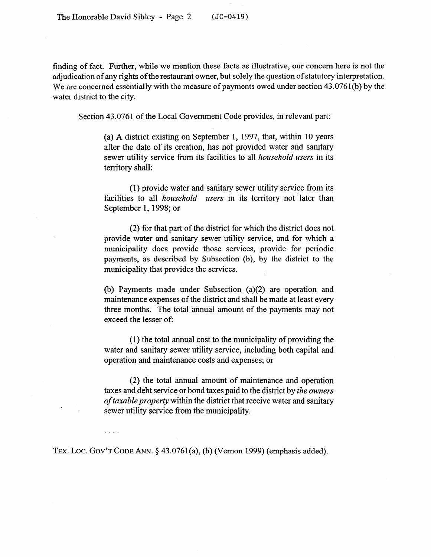finding of fact. Further, while we mention these facts as illustrative, our concern here is not the adjudication of any rights of the restaurant owner, but solely the question of statutory interpretation. We are concerned essentially with the measure of payments owed under section 43.0761(b) by the water district to the city.

Section 43.0761 of the Local Government Code provides, in relevant part:

(a) A district existing on September 1, 1997, that, within 10 years after the date of its creation, has not provided water and sanitary sewer utility service from its facilities to all *household users* in its territory shall:

(1) provide water and sanitary sewer utility service from its facilities to all *household users* in its territory not later than September 1, 1998; or

(2) for that part of the district for which the district does not provide water and sanitary sewer utility service, and for which a municipality does provide those services, provide for periodic payments, as described by Subsection (b), by the district to the municipality that provides the services.

(b) Payments made under Subsection (a)(2) are operation and maintenance expenses of the district and shall be made at least every three months. The total annual amount of the payments may not exceed the lesser of:

(1) the total annual cost to the municipality of providing the water and sanitary sewer utility service, including both capital and operation and maintenance costs and expenses; or

(2) the total annual amount of maintenance and operation taxes and debt service or bond taxes paid to the district by *the owners of taxable property* within the district that receive water and sanitary sewer utility service from the municipality.

**TEX.** Lot. **GOV'T CODE** ANN. 8 43.0761(a), (b) (Vernon 1999) (emphasis added).

 $\mathbf{1}$  ,  $\mathbf{1}$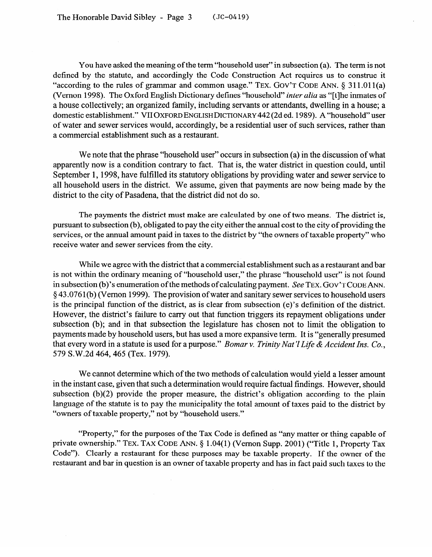You have asked the meaning of the term "household user" in subsection (a). The term is not defined by the statute, and accordingly the Code Construction Act requires us to construe it "according to the rules of grammar and common usage." TEX. GOV'T CODE ANN. § 311.011(a) (Vernon 1998). The Oxford English Dictionary defines "household" *inter alia* as "[tlhe inmates of a house collectively; an organized family, including servants or attendants, dwelling in a house; a domestic establishment." VII **OXFORD ENGLISHDICTIONARY** 442 (2d ed. 1989). A "household" user of water and sewer services would, accordingly, be a residential user of such services, rather than a commercial establishment such as a restaurant.

We note that the phrase "household user" occurs in subsection (a) in the discussion of what apparently now is a condition contrary to fact. That is, the water district in question could, until September 1, 1998, have fulfilled its statutory obligations by providing water and sewer service to all household users in the district. We assume, given that payments are now being made by the district to the city of Pasadena, that the district did not do so.

The payments the district must make are calculated by one of two means. The district is, pursuant to subsection (b), obligated to pay the city either the annual cost to the city of providing the pursuant to subsection (b), obligated to pay the city either the annual cost to the city of providing the services, or the annual amount paid in taxes to the district by "the owners of taxable property" who receive water and sewer services from the city.

While we agree with the district that a commercial establishment such as a restaurant and bar<br>is not within the ordinary meaning of "household user," the phrase "household user" is not found in subsection (b)'s enumeration of the methods of calculating payment. See TEX. GOV'T CODE ANN. § 43.0761(b) (Vernon 1999). The provision of water and sanitary sewer services to household users is the principal function of the district, as is clear from subsection  $(e)$ 's definition of the district. However, the district's failure to carry out that function triggers its repayment obligations under subsection (b); and in that subsection the legislature has chosen not to limit the obligation to payments made by household users, but has used a more expansive term. It is "generally presumed that every word in a statute is used for a purpose." Bomar v. Trinity Nat'l Life & Accident Ins. Co.,  $t_1$  in a statute is used for a statute in a purpose. The Accident Institute is used for a purpose.  $t_1$  in  $t_2$  $\frac{1}{2}$ 

We cannot determine which of the two methods of calculation would yield a lesser amount<br>in the instant case, given that such a determination would require factual findings. However, should subsection  $(b)(2)$  provide the proper measure, the district's obligation according to the plain language of the statute is to pay the municipality the total amount of taxes paid to the district by "owners of taxable property," not by "household users." "owners of taxable property," not by "household users."

"Property," for the purposes of the Tax Code is defined as "any matter or thing capable of private ownership." TEX. TAX CODE ANN. § 1.04(1) (Vernon Supp. 2001) ("Title 1, Property Tax Code"). Clearly a restaurant for these purposes may be taxable property. If the owner of the restaurant and bar in question is an owner of taxable property and has in fact paid such taxes to the